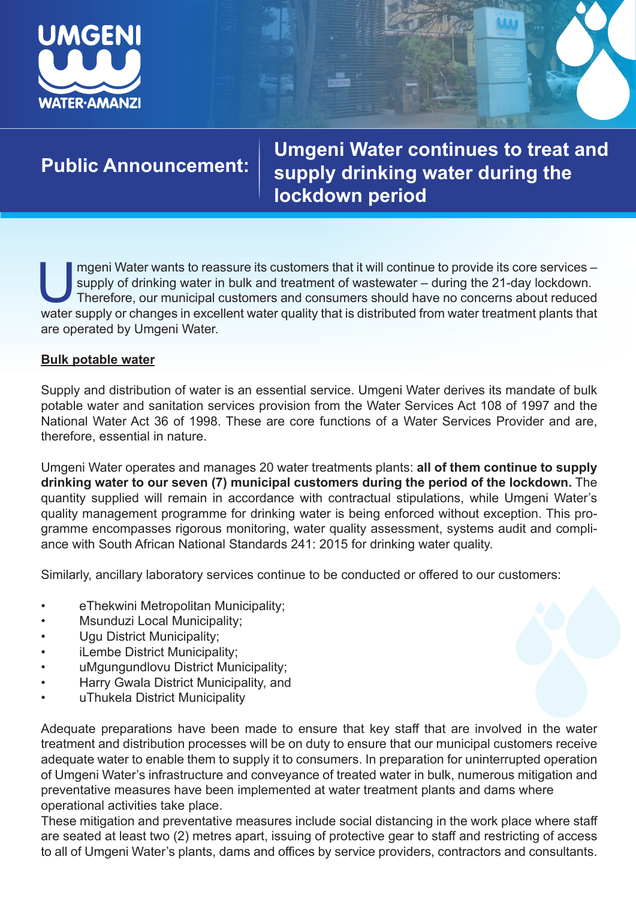

**Public Announcement: Umgeni Water continues to treat and supply drinking water during the lockdown period**

Imgeni Water wants to reassure its customers that it will continue to provide its core services –<br>supply of drinking water in bulk and treatment of wastewater – during the 21-day lockdown.<br>Therefore, our municipal customer supply of drinking water in bulk and treatment of wastewater – during the 21-day lockdown. Therefore, our municipal customers and consumers should have no concerns about reduced water supply or changes in excellent water quality that is distributed from water treatment plants that are operated by Umgeni Water.

# **Bulk potable water**

Supply and distribution of water is an essential service. Umgeni Water derives its mandate of bulk potable water and sanitation services provision from the Water Services Act 108 of 1997 and the National Water Act 36 of 1998. These are core functions of a Water Services Provider and are, therefore, essential in nature.

Umgeni Water operates and manages 20 water treatments plants: **all of them continue to supply drinking water to our seven (7) municipal customers during the period of the lockdown.** The quantity supplied will remain in accordance with contractual stipulations, while Umgeni Water's quality management programme for drinking water is being enforced without exception. This programme encompasses rigorous monitoring, water quality assessment, systems audit and compliance with South African National Standards 241: 2015 for drinking water quality.

Similarly, ancillary laboratory services continue to be conducted or offered to our customers:

- eThekwini Metropolitan Municipality;
- Msunduzi Local Municipality;
- Ugu District Municipality;
- iLembe District Municipality;
- uMgungundlovu District Municipality;
- Harry Gwala District Municipality, and
- uThukela District Municipality

Adequate preparations have been made to ensure that key staff that are involved in the water treatment and distribution processes will be on duty to ensure that our municipal customers receive adequate water to enable them to supply it to consumers. In preparation for uninterrupted operation of Umgeni Water's infrastructure and conveyance of treated water in bulk, numerous mitigation and preventative measures have been implemented at water treatment plants and dams where operational activities take place.

These mitigation and preventative measures include social distancing in the work place where staff are seated at least two (2) metres apart, issuing of protective gear to staff and restricting of access to all of Umgeni Water's plants, dams and offices by service providers, contractors and consultants.